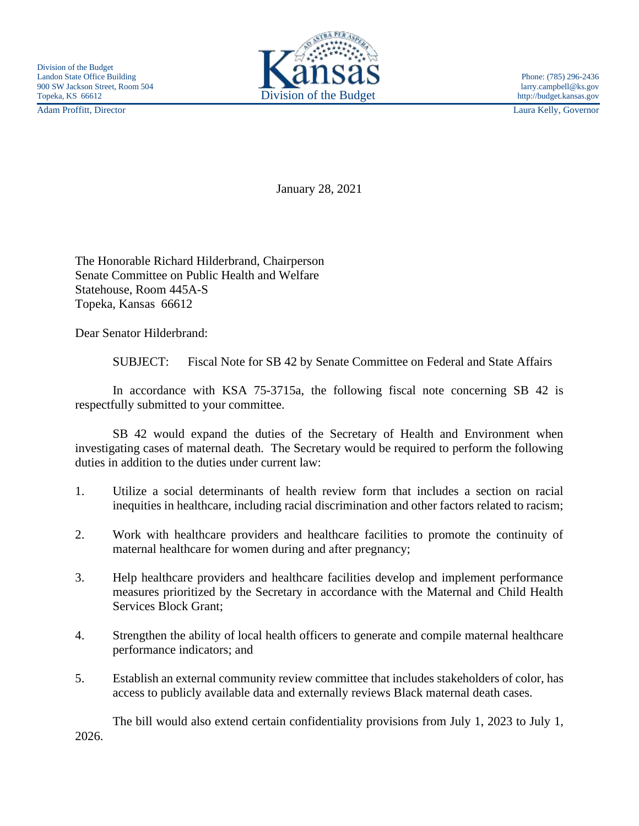Adam Proffitt, Director Laura Kelly, Governor



January 28, 2021

The Honorable Richard Hilderbrand, Chairperson Senate Committee on Public Health and Welfare Statehouse, Room 445A-S Topeka, Kansas 66612

Dear Senator Hilderbrand:

SUBJECT: Fiscal Note for SB 42 by Senate Committee on Federal and State Affairs

In accordance with KSA 75-3715a, the following fiscal note concerning SB 42 is respectfully submitted to your committee.

SB 42 would expand the duties of the Secretary of Health and Environment when investigating cases of maternal death. The Secretary would be required to perform the following duties in addition to the duties under current law:

- 1. Utilize a social determinants of health review form that includes a section on racial inequities in healthcare, including racial discrimination and other factors related to racism;
- 2. Work with healthcare providers and healthcare facilities to promote the continuity of maternal healthcare for women during and after pregnancy;
- 3. Help healthcare providers and healthcare facilities develop and implement performance measures prioritized by the Secretary in accordance with the Maternal and Child Health Services Block Grant;
- 4. Strengthen the ability of local health officers to generate and compile maternal healthcare performance indicators; and
- 5. Establish an external community review committee that includes stakeholders of color, has access to publicly available data and externally reviews Black maternal death cases.

The bill would also extend certain confidentiality provisions from July 1, 2023 to July 1, 2026.